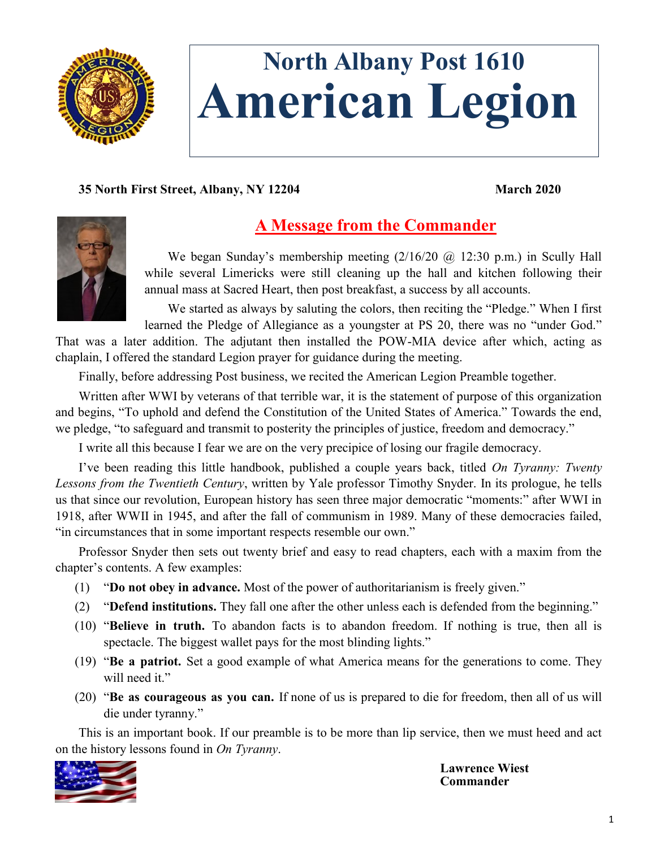

# **North Albany Post 1610 American Legion**

#### **35 North First Street, Albany, NY 12204 March 2020**



# **A Message from the Commander**

We began Sunday's membership meeting  $(2/16/20 \text{ (a)} 12:30 \text{ p.m.})$  in Scully Hall while several Limericks were still cleaning up the hall and kitchen following their annual mass at Sacred Heart, then post breakfast, a success by all accounts.

We started as always by saluting the colors, then reciting the "Pledge." When I first learned the Pledge of Allegiance as a youngster at PS 20, there was no "under God."

That was a later addition. The adjutant then installed the POW-MIA device after which, acting as chaplain, I offered the standard Legion prayer for guidance during the meeting.

Finally, before addressing Post business, we recited the American Legion Preamble together.

Written after WWI by veterans of that terrible war, it is the statement of purpose of this organization and begins, "To uphold and defend the Constitution of the United States of America." Towards the end, we pledge, "to safeguard and transmit to posterity the principles of justice, freedom and democracy."

I write all this because I fear we are on the very precipice of losing our fragile democracy.

I've been reading this little handbook, published a couple years back, titled *On Tyranny: Twenty Lessons from the Twentieth Century*, written by Yale professor Timothy Snyder. In its prologue, he tells us that since our revolution, European history has seen three major democratic "moments:" after WWI in 1918, after WWII in 1945, and after the fall of communism in 1989. Many of these democracies failed, "in circumstances that in some important respects resemble our own."

Professor Snyder then sets out twenty brief and easy to read chapters, each with a maxim from the chapter's contents. A few examples:

- (1) "**Do not obey in advance.** Most of the power of authoritarianism is freely given."
- (2) "**Defend institutions.** They fall one after the other unless each is defended from the beginning."
- (10) "**Believe in truth.** To abandon facts is to abandon freedom. If nothing is true, then all is spectacle. The biggest wallet pays for the most blinding lights."
- (19) "**Be a patriot.** Set a good example of what America means for the generations to come. They will need it."
- (20) "**Be as courageous as you can.** If none of us is prepared to die for freedom, then all of us will die under tyranny."

This is an important book. If our preamble is to be more than lip service, then we must heed and act on the history lessons found in *On Tyranny*.



**Lawrence Wiest Commander**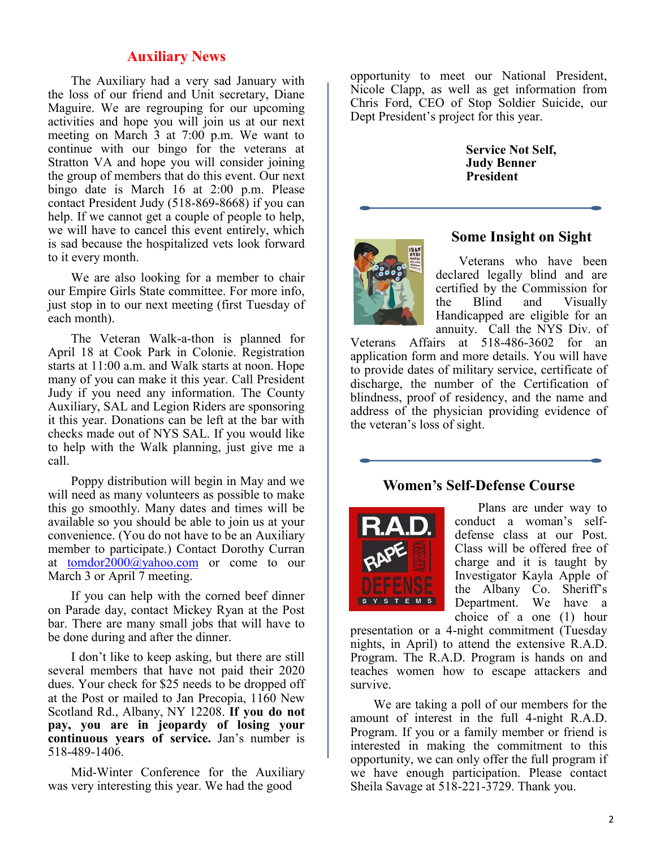#### **Auxiliary News**

The Auxiliary had a very sad January with the loss of our friend and Unit secretary, Diane Maguire. We are regrouping for our upcoming activities and hope you will join us at our next meeting on March 3 at 7:00 p.m. We want to continue with our bingo for the veterans at Stratton VA and hope you will consider joining the group of members that do this event. Our next bingo date is March 16 at 2:00 p.m. Please contact President Judy (518-869-8668) if you can help. If we cannot get a couple of people to help, we will have to cancel this event entirely, which is sad because the hospitalized vets look forward to it every month.

We are also looking for a member to chair our Empire Girls State committee. For more info, just stop in to our next meeting (first Tuesday of each month).

The Veteran Walk-a-thon is planned for April 18 at Cook Park in Colonie. Registration starts at 11:00 a.m. and Walk starts at noon. Hope many of you can make it this year. Call President Judy if you need any information. The County Auxiliary, SAL and Legion Riders are sponsoring it this year. Donations can be left at the bar with checks made out of NYS SAL. If you would like to help with the Walk planning, just give me a call.

Poppy distribution will begin in May and we will need as many volunteers as possible to make this go smoothly. Many dates and times will be available so you should be able to join us at your convenience. (You do not have to be an Auxiliary member to participate.) Contact Dorothy Curran at [tomdor2000@yahoo.com](mailto:tomdor2000@yahoo.com) or come to our March 3 or April 7 meeting.

If you can help with the corned beef dinner on Parade day, contact Mickey Ryan at the Post bar. There are many small jobs that will have to be done during and after the dinner.

I don't like to keep asking, but there are still several members that have not paid their 2020 dues. Your check for \$25 needs to be dropped off at the Post or mailed to Jan Precopia, 1160 New Scotland Rd., Albany, NY 12208. **If you do not pay, you are in jeopardy of losing your continuous years of service.** Jan's number is 518-489-1406.

Mid-Winter Conference for the Auxiliary was very interesting this year. We had the good

opportunity to meet our National President, Nicole Clapp, as well as get information from Chris Ford, CEO of Stop Soldier Suicide, our Dept President's project for this year.

> **Service Not Self, Judy Benner President**



#### **Some Insight on Sight**

Veterans who have been declared legally blind and are certified by the Commission for the Blind and Visually Handicapped are eligible for an annuity. Call the NYS Div. of

Veterans Affairs at 518-486-3602 for an application form and more details. You will have to provide dates of military service, certificate of discharge, the number of the Certification of blindness, proof of residency, and the name and address of the physician providing evidence of the veteran's loss of sight.

#### **Women's Self-Defense Course**



Plans are under way to conduct a woman's selfdefense class at our Post. Class will be offered free of charge and it is taught by Investigator Kayla Apple of the Albany Co. Sheriff's Department. We have a choice of a one (1) hour

presentation or a 4-night commitment (Tuesday nights, in April) to attend the extensive R.A.D. Program. The R.A.D. Program is hands on and teaches women how to escape attackers and survive.

We are taking a poll of our members for the amount of interest in the full 4-night R.A.D. Program. If you or a family member or friend is interested in making the commitment to this opportunity, we can only offer the full program if we have enough participation. Please contact Sheila Savage at 518-221-3729. Thank you.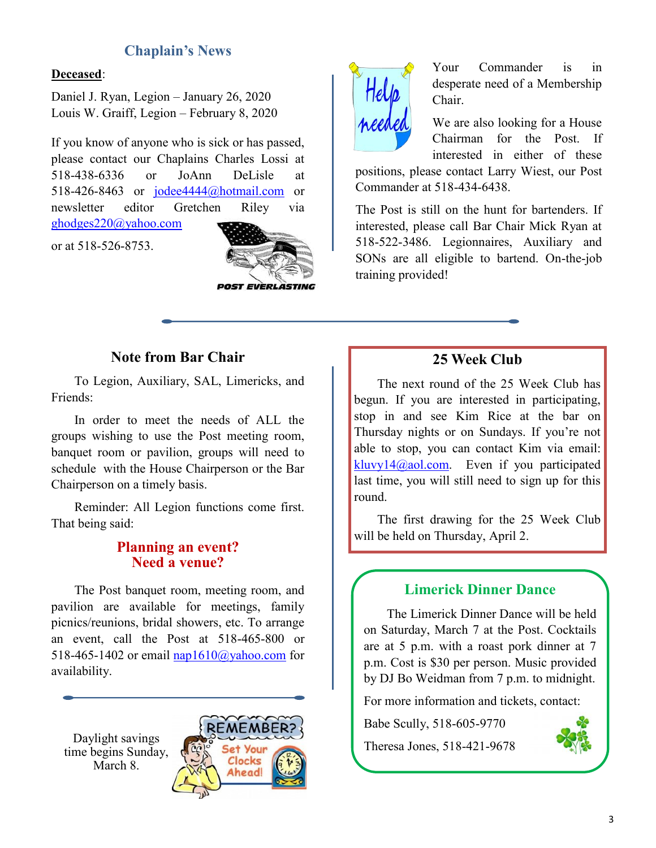## **Chaplain's News**

#### **Deceased**:

Daniel J. Ryan, Legion – January 26, 2020 Louis W. Graiff, Legion – February 8, 2020

If you know of anyone who is sick or has passed, please contact our Chaplains Charles Lossi at 518-438-6336 or JoAnn DeLisle at 518-426-8463 or [jodee4444@hotmail.com](mailto:jodee4444@hotmail.com) or newsletter editor Gretchen Riley via [ghodges220@yahoo.com](mailto:ghodges220@yahoo.com)

or at 518-526-8753.





Your Commander is in desperate need of a Membership Chair.

We are also looking for a House Chairman for the Post. If interested in either of these

positions, please contact Larry Wiest, our Post Commander at 518-434-6438.

The Post is still on the hunt for bartenders. If interested, please call Bar Chair Mick Ryan at 518-522-3486. Legionnaires, Auxiliary and SONs are all eligible to bartend. On-the-job training provided!

## **Note from Bar Chair**

To Legion, Auxiliary, SAL, Limericks, and Friends:

In order to meet the needs of ALL the groups wishing to use the Post meeting room, banquet room or pavilion, groups will need to schedule with the House Chairperson or the Bar Chairperson on a timely basis.

Reminder: All Legion functions come first. That being said:

#### **Planning an event? Need a venue?**

The Post banquet room, meeting room, and pavilion are available for meetings, family picnics/reunions, bridal showers, etc. To arrange an event, call the Post at 518-465-800 or 518-465-1402 or email [nap1610@yahoo.com](mailto:nap1610@yahoo.com) for availability.

Daylight savings time begins Sunday, March 8.



#### **25 Week Club**

The next round of the 25 Week Club has begun. If you are interested in participating, stop in and see Kim Rice at the bar on Thursday nights or on Sundays. If you're not able to stop, you can contact Kim via email:  $k$ luvy14@aol.com. Even if you participated last time, you will still need to sign up for this round.

The first drawing for the 25 Week Club will be held on Thursday, April 2.

## **Limerick Dinner Dance**

The Limerick Dinner Dance will be held on Saturday, March 7 at the Post. Cocktails are at 5 p.m. with a roast pork dinner at 7 p.m. Cost is \$30 per person. Music provided by DJ Bo Weidman from 7 p.m. to midnight.

For more information and tickets, contact:

Babe Scully, 518-605-9770

Theresa Jones, 518-421-9678